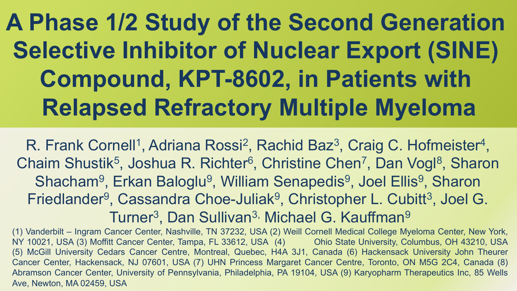**A Phase 1/2 Study of the Second Generation Selective Inhibitor of Nuclear Export (SINE) Compound, KPT-8602, in Patients with Relapsed Refractory Multiple Myeloma** 

R. Frank Cornell<sup>1</sup>, Adriana Rossi<sup>2</sup>, Rachid Baz<sup>3</sup>, Craig C. Hofmeister<sup>4</sup>, Chaim Shustik<sup>5</sup>, Joshua R. Richter<sup>6</sup>, Christine Chen<sup>7</sup>, Dan Vogl<sup>8</sup>, Sharon Shacham<sup>9</sup>, Erkan Baloglu<sup>9</sup>, William Senapedis<sup>9</sup>, Joel Ellis<sup>9</sup>, Sharon Friedlander<sup>9</sup>, Cassandra Choe-Juliak<sup>9</sup>, Christopher L. Cubitt<sup>3</sup>, Joel G. Turner<sup>3</sup>, Dan Sullivan<sup>3,</sup> Michael G. Kauffman<sup>9</sup>

(1) Vanderbilt – Ingram Cancer Center, Nashville, TN 37232, USA (2) Weill Cornell Medical College Myeloma Center, New York, NY 10021, USA (3) Moffitt Cancer Center, Tampa, FL 33612, USA (4) Ohio State University, Columbus, OH 43210, USA (5) McGill University Cedars Cancer Centre, Montreal, Quebec, H4A 3J1, Canada (6) Hackensack University John Theurer Cancer Center, Hackensack, NJ 07601, USA (7) UHN Princess Margaret Cancer Centre, Toronto, ON M5G 2C4, Canada (8) Abramson Cancer Center, University of Pennsylvania, Philadelphia, PA 19104, USA (9) Karyopharm Therapeutics Inc, 85 Wells Ave, Newton, MA 02459, USA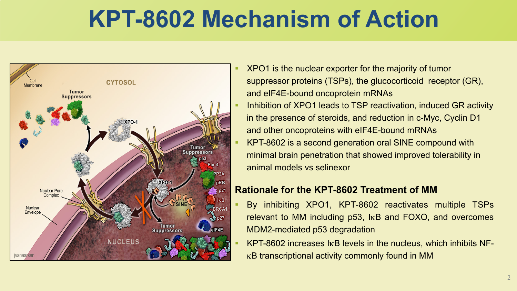# **KPT-8602 Mechanism of Action**



- § XPO1 is the nuclear exporter for the majority of tumor suppressor proteins (TSPs), the glucocorticoid receptor (GR), and eIF4E-bound oncoprotein mRNAs
- Inhibition of XPO1 leads to TSP reactivation, induced GR activity in the presence of steroids, and reduction in c-Myc, Cyclin D1 and other oncoproteins with eIF4E-bound mRNAs
- § KPT-8602 is a second generation oral SINE compound with minimal brain penetration that showed improved tolerability in animal models vs selinexor

#### **Rationale for the KPT-8602 Treatment of MM**

- § By inhibiting XPO1, KPT-8602 reactivates multiple TSPs relevant to MM including p53, IκB and FOXO, and overcomes MDM2-mediated p53 degradation
- $KPT-8602$  increases  $IKB$  levels in the nucleus, which inhibits NFκB transcriptional activity commonly found in MM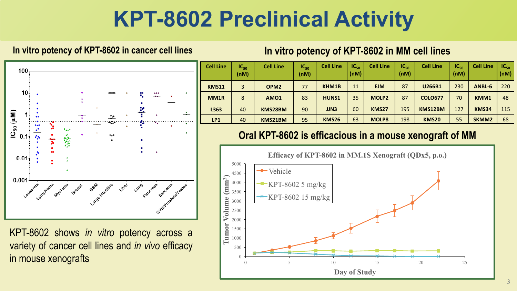## **KPT-8602 Preclinical Activity**

#### In vitro potency of KPT-8602 in cancer cell lines **In vitro potency of KPT-8602 in MM cell lines**



KPT-8602 shows *in vitro* potency across a variety of cancer cell lines and *in vivo* efficacy in mouse xenografts

| <b>Cell Line</b> | $IC_{50}$<br>(nM) | <b>Cell Line</b> | $IC_{50}$<br>(nM) | <b>Cell Line</b> | $IC_{50}$<br>(nM) | <b>Cell Line</b> | $IC_{50}$<br>(nM) | <b>Cell Line</b> | $IC_{50}$<br>(nM) | <b>Cell Line</b> | $IC_{50}$<br>(nM) |
|------------------|-------------------|------------------|-------------------|------------------|-------------------|------------------|-------------------|------------------|-------------------|------------------|-------------------|
| <b>KMS11</b>     | 3                 | OPM <sub>2</sub> | 77                | KHM1B            | 11                | <b>EJM</b>       | 87                | <b>U266B1</b>    | 230               | ANBL-6           | 220               |
| MM1R             | 8                 | AMO <sub>1</sub> | 83                | HUNS1            | 35                | <b>MOLP2</b>     | 87                | <b>COLO677</b>   | 70                | KMM1             | 48                |
| L363             | 40                | <b>KMS28BM</b>   | 90                | JJN3             | 60                | <b>KMS27</b>     | 195               | <b>KMS12BM</b>   | 127               | <b>KMS34</b>     | 115               |
| LP1              | 40                | <b>KMS21BM</b>   | 95                | <b>KMS26</b>     | 63                | <b>MOLP8</b>     | 198               | <b>KMS20</b>     | 55                | SKMM2            | 68                |

#### **Oral KPT-8602 is efficacious in a mouse xenograft of MM**

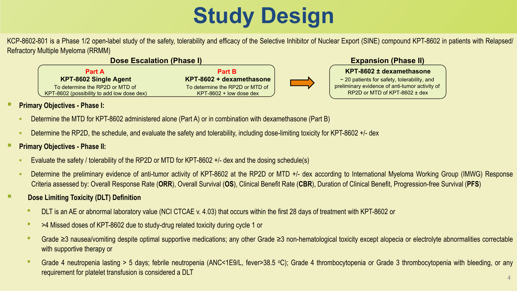# **Study Design**

KCP-8602-801 is a Phase 1/2 open-label study of the safety, tolerability and efficacy of the Selective Inhibitor of Nuclear Export (SINE) compound KPT-8602 in patients with Relapsed/ Refractory Multiple Myeloma (RRMM)





#### **KPT-8602 ± dexamethasone**

 $\sim$  20 patients for safety, tolerability, and preliminary evidence of anti-tumor activity of RP2D or MTD of KPT-8602 ± dex

- § **Primary Objectives Phase I:** 
	- § Determine the MTD for KPT-8602 administered alone (Part A) or in combination with dexamethasone (Part B)
	- Determine the RP2D, the schedule, and evaluate the safety and tolerability, including dose-limiting toxicity for KPT-8602 +/- dex
- § **Primary Objectives Phase II:** 
	- § Evaluate the safety / tolerability of the RP2D or MTD for KPT-8602 +/- dex and the dosing schedule(s)
	- § Determine the preliminary evidence of anti-tumor activity of KPT-8602 at the RP2D or MTD +/- dex according to International Myeloma Working Group (IMWG) Response Criteria assessed by: Overall Response Rate (**ORR**), Overall Survival (**OS**), Clinical Benefit Rate (**CBR**), Duration of Clinical Benefit, Progression-free Survival (**PFS**)
- § **Dose Limiting Toxicity (DLT) Definition** 
	- DLT is an AE or abnormal laboratory value (NCI CTCAE v. 4.03) that occurs within the first 28 days of treatment with KPT-8602 or
	- >4 Missed doses of KPT-8602 due to study-drug related toxicity during cycle 1 or
	- Grade ≥3 nausea/vomiting despite optimal supportive medications; any other Grade ≥3 non-hematological toxicity except alopecia or electrolyte abnormalities correctable with supportive therapy or
	- Grade 4 neutropenia lasting > 5 days; febrile neutropenia (ANC<1E9/L, fever>38.5 °C); Grade 4 thrombocytopenia or Grade 3 thrombocytopenia with bleeding, or any requirement for platelet transfusion is considered a DLT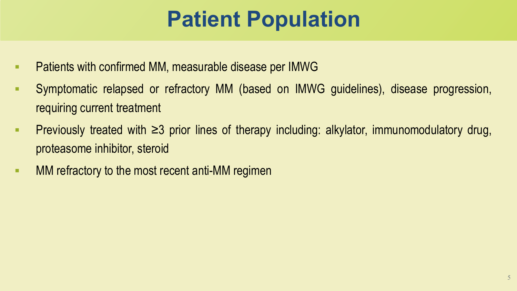# **Patient Population**

- § Patients with confirmed MM, measurable disease per IMWG
- Symptomatic relapsed or refractory MM (based on IMWG guidelines), disease progression, requiring current treatment
- Previously treated with  $\geq$ 3 prior lines of therapy including: alkylator, immunomodulatory drug, proteasome inhibitor, steroid
- MM refractory to the most recent anti-MM regimen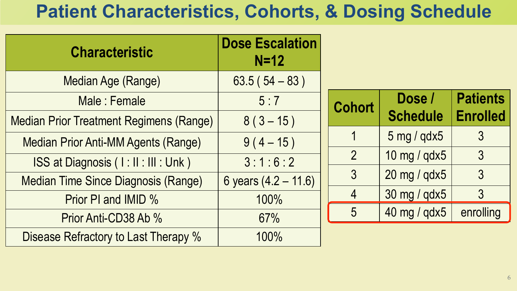#### **Patient Characteristics, Cohorts, & Dosing Schedule**

| <b>Characteristic</b>                          | <b>Dose Escalation</b><br>$N=12$ |                |                  |                 |
|------------------------------------------------|----------------------------------|----------------|------------------|-----------------|
| Median Age (Range)                             | $63.5(54-83)$                    |                |                  |                 |
| Male: Female                                   | 5:7                              | <b>Cohort</b>  | Dose /           | <b>Patients</b> |
| <b>Median Prior Treatment Regimens (Range)</b> | $8(3 - 15)$                      |                | <b>Schedule</b>  | <b>Enrolled</b> |
| <b>Median Prior Anti-MM Agents (Range)</b>     | $9(4-15)$                        |                | $5$ mg / qdx $5$ | 3               |
| ISS at Diagnosis (I: II: III: Unk)             | 3:1:6:2                          | $\overline{2}$ | 10 mg / qdx5     | 3               |
| <b>Median Time Since Diagnosis (Range)</b>     | 6 years $(4.2 - 11.6)$           | 3              | 20 mg / qdx5     | 3               |
| Prior PI and IMID %                            | 100%                             | 4              | 30 mg / qdx5     | 3               |
| Prior Anti-CD38 Ab %                           | 67%                              | $\overline{5}$ | 40 mg / qdx5     | enrolling       |
| Disease Refractory to Last Therapy %           | 100%                             |                |                  |                 |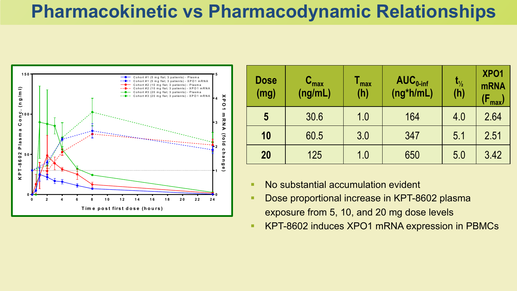#### **Pharmacokinetic vs Pharmacodynamic Relationships**



| <b>Dose</b><br>(mg) | $C_{\text{max}}$<br>(ng/mL) | $\mathbf{I}_{\text{max}}$<br>(h) | $AUC_{0\text{-inf}}$<br>$(ng^*h/mL)$ | $t_{\frac{1}{2}}$<br>(h) | XPO <sub>1</sub><br><b>mRNA</b><br>$(\mathsf{F}_{\mathsf{max}})$ |  |
|---------------------|-----------------------------|----------------------------------|--------------------------------------|--------------------------|------------------------------------------------------------------|--|
| 5                   | 30.6                        | 1.0                              | 164                                  | 4.0                      | 2.64                                                             |  |
| 10                  | 60.5                        | 3.0                              | 347                                  | 5.1                      | 2.51                                                             |  |
| <b>20</b>           | 125                         | 1.0                              | 650                                  | 5.0                      | 3.42                                                             |  |

- No substantial accumulation evident
- Dose proportional increase in KPT-8602 plasma exposure from 5, 10, and 20 mg dose levels
- KPT-8602 induces XPO1 mRNA expression in PBMCs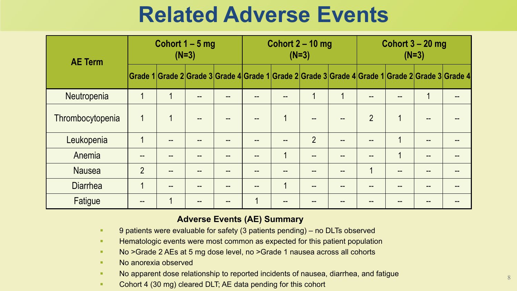### **Related Adverse Events**

| <b>AE Term</b>   | Cohort $1 - 5$ mg<br>$(N=3)$ |   |    |    | Cohort 2 - 10 mg<br>$(N=3)$ |                |                |    | Cohort $3 - 20$ mg<br>$(N=3)$ |                |    |                                                                                                 |
|------------------|------------------------------|---|----|----|-----------------------------|----------------|----------------|----|-------------------------------|----------------|----|-------------------------------------------------------------------------------------------------|
|                  |                              |   |    |    |                             |                |                |    |                               |                |    | Grade 1 Grade 2 Grade 3 Grade 4 Grade 1 Grade 2 Grade 3 Grade 4 Grade 1 Grade 2 Grade 3 Grade 4 |
| Neutropenia      |                              | 1 | -- |    |                             |                | $\mathbf 1$    | 1  | --                            |                |    |                                                                                                 |
| Thrombocytopenia | $\mathbf 1$                  | 1 |    |    | $- -$                       | $\mathbf{1}$   | --             |    | $\overline{2}$                | 1              |    |                                                                                                 |
| Leukopenia       |                              |   | -- | -- |                             | --             | $\overline{2}$ | -- | --                            | 1              | -- |                                                                                                 |
| Anemia           |                              |   |    |    | --                          | $\overline{1}$ | --             | -- | --                            | $\overline{1}$ | -- |                                                                                                 |
| <b>Nausea</b>    | $\overline{2}$               |   | -- |    |                             |                |                | -- | 4                             | --             | -- |                                                                                                 |
| <b>Diarrhea</b>  |                              |   | -- | -- | $- -$                       | $\overline{1}$ | --             | -- | --                            | --             | -- |                                                                                                 |
| Fatigue          |                              |   |    |    |                             |                |                |    |                               |                |    |                                                                                                 |

#### **Adverse Events (AE) Summary**

- 9 patients were evaluable for safety (3 patients pending) no DLTs observed
- **EXEDEE Hematologic events were most common as expected for this patient population**
- No >Grade 2 AEs at 5 mg dose level, no >Grade 1 nausea across all cohorts
- No anorexia observed
- **No apparent dose relationship to reported incidents of nausea, diarrhea, and fatigue**
- Cohort 4 (30 mg) cleared DLT; AE data pending for this cohort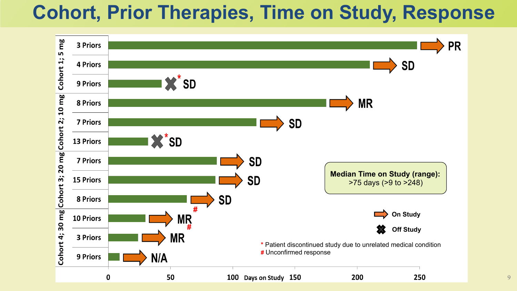#### **Cohort, Prior Therapies, Time on Study, Response**



9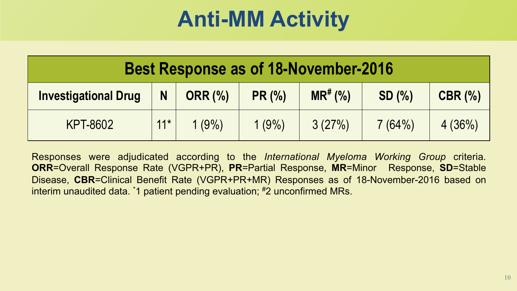# **Anti-MM Activity**

| <b>Best Response as of 18-November-2016</b> |       |                |               |               |        |                |  |  |  |  |
|---------------------------------------------|-------|----------------|---------------|---------------|--------|----------------|--|--|--|--|
| <b>Investigational Drug</b>                 | N     | <b>ORR (%)</b> | <b>PR (%)</b> | $MR^{\#}$ (%) | SD(%)  | <b>CBR (%)</b> |  |  |  |  |
| <b>KPT-8602</b>                             | $11*$ | 1(9%)          | 1(9%)         | 3(27%)        | 7(64%) | 4(36%)         |  |  |  |  |

Responses were adjudicated according to the *International Myeloma Working Group* criteria*.*  **ORR**=Overall Response Rate (VGPR+PR), **PR**=Partial Response, **MR**=Minor Response, **SD**=Stable Disease, **CBR**=Clinical Benefit Rate (VGPR+PR+MR) Responses as of 18-November-2016 based on interim unaudited data. \* 1 patient pending evaluation; #2 unconfirmed MRs.